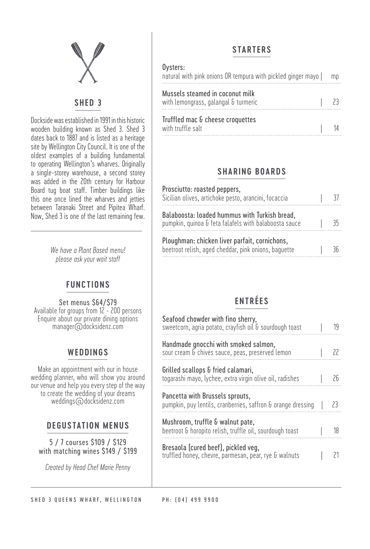

#### **SHED 3**

Dockside was established in 1991 in this historic wooden building known as Shed 3. Shed 3 dates back to 1887 and is listed as a heritage site by Wellington City Council. It is one of the oldest examples of a building fundamental to operating Wellington's wharves. Originally a single-storey warehouse, a second storey was added in the 20th century for Harbour Board tug boat staff. Timber buildings like this one once lined the wharves and jetties between Taranaki Street and Pipitea Wharf. Now, Shed 3 is one of the last remaining few.

> *We have a Plant Based menu! please ask your wait staff*

#### **FUNCTIONS**

Set menus \$64/\$79 Available for groups from 12 - 200 persons Enquire about our private dining options manager@docksidenz.com

#### **WEDDINGS**

Make an appointment with our in house wedding planner, who will show you around our venue and help you every step of the way to create the wedding of your dreams weddings@docksidenz.com

#### **DEGUSTATION MENUS**

5 / 7 courses \$109 / \$129 with matching wines \$149 / \$199

*Created by Head Chef Marie Penny*

### **STARTERS**

| Oysters:<br>natural with pink onions OR tempura with pickled ginger mayo | mp |
|--------------------------------------------------------------------------|----|
| Mussels steamed in coconut milk<br>with lemongrass, galangal & turmeric  |    |
| Truffled mac & cheese croquettes<br>with truffle salt                    |    |

### **SHARING BOARDS**

| Prosciutto: roasted peppers,<br>Sicilian olives, artichoke pesto, arancini, focaccia                   |    |
|--------------------------------------------------------------------------------------------------------|----|
| Balaboosta: loaded hummus with Turkish bread,<br>pumpkin, quinoa & feta falafels with balaboosta sauce | 35 |
| Ploughman: chicken liver parfait, cornichons,<br>beetroot relish, aged cheddar, pink onions, baquette  | Зĥ |

# **ENTRÉES**

| Seafood chowder with fino sherry,<br>sweetcorn, agria potato, crayfish oil & sourdough toast    | 19  |
|-------------------------------------------------------------------------------------------------|-----|
| Handmade gnocchi with smoked salmon,<br>sour cream & chives sauce, peas, preserved lemon        | 22  |
| Grilled scallops & fried calamari,<br>togarashi mayo, lychee, extra virgin olive oil, radishes  | 26  |
| Pancetta with Brussels sprouts,<br>pumpkin, puy lentils, cranberries, saffron & orange dressing | -23 |
| Mushroom, truffle & walnut pate,<br>beetroot & horopito relish, truffle oil, sourdough toast    | 18  |
| Bresaola (cured beef), pickled veg,<br>truffled honey, chevre, parmesan, pear, rye & walnuts    |     |